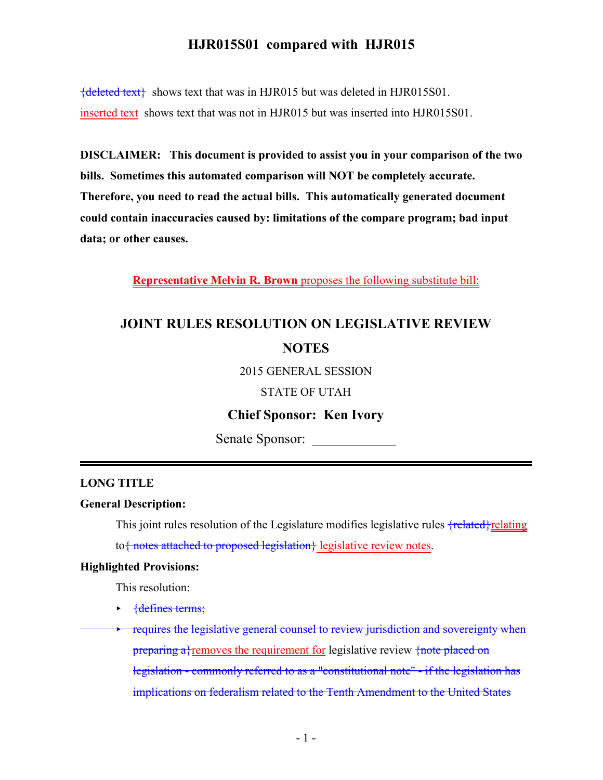${deleted text}$  shows text that was in HJR015 but was deleted in HJR015S01. inserted text shows text that was not in HJR015 but was inserted into HJR015S01.

**DISCLAIMER: This document is provided to assist you in your comparison of the two bills. Sometimes this automated comparison will NOT be completely accurate. Therefore, you need to read the actual bills. This automatically generated document could contain inaccuracies caused by: limitations of the compare program; bad input data; or other causes.**

**Representative Melvin R. Brown** proposes the following substitute bill:

# **JOINT RULES RESOLUTION ON LEGISLATIVE REVIEW NOTES**

2015 GENERAL SESSION

STATE OF UTAH

### **Chief Sponsor: Ken Ivory**

Senate Sponsor:

#### **LONG TITLE**

#### **General Description:**

This joint rules resolution of the Legislature modifies legislative rules  $\{related\}$ relating to{ notes attached to proposed legislation} legislative review notes.

#### **Highlighted Provisions:**

This resolution:

- $\rightarrow$  {defines terms;
- requires the legislative general counsel to review jurisdiction and sovereignty when preparing a} removes the requirement for legislative review  $\frac{1}{\pi}$  reduced on legislation - commonly referred to as a "constitutional note" - if the legislation has implications on federalism related to the Tenth Amendment to the United States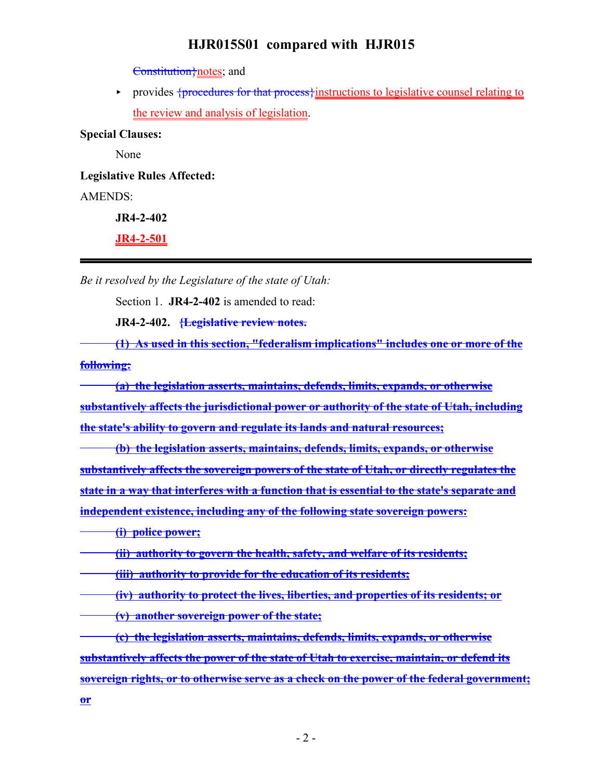Constitution}notes; and

provides {procedures for that process} instructions to legislative counsel relating to the review and analysis of legislation.

**Special Clauses:**

None

**Legislative Rules Affected:**

AMENDS:

**JR4-2-402**

**JR4-2-501**

*Be it resolved by the Legislature of the state of Utah:*

Section 1. **JR4-2-402** is amended to read:

**JR4-2-402. {Legislative review notes.**

**(1) As used in this section, "federalism implications" includes one or more of the following:**

**(a) the legislation asserts, maintains, defends, limits, expands, or otherwise substantively affects the jurisdictional power or authority of the state of Utah, including the state's ability to govern and regulate its lands and natural resources;**

**(b) the legislation asserts, maintains, defends, limits, expands, or otherwise substantively affects the sovereign powers of the state of Utah, or directly regulates the state in a way that interferes with a function that is essential to the state's separate and independent existence, including any of the following state sovereign powers:**

**(i) police power;**

**(ii) authority to govern the health, safety, and welfare of its residents;**

**(iii) authority to provide for the education of its residents;**

**(iv) authority to protect the lives, liberties, and properties of its residents; or**

**(v) another sovereign power of the state;**

**(c) the legislation asserts, maintains, defends, limits, expands, or otherwise substantively affects the power of the state of Utah to exercise, maintain, or defend its sovereign rights, or to otherwise serve as a check on the power of the federal government; or**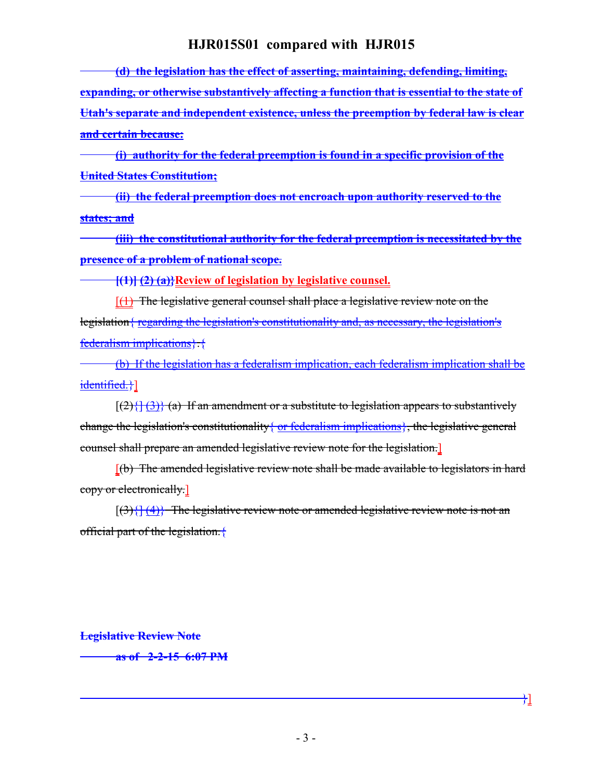**(d) the legislation has the effect of asserting, maintaining, defending, limiting, expanding, or otherwise substantively affecting a function that is essential to the state of Utah's separate and independent existence, unless the preemption by federal law is clear and certain because:**

**(i) authority for the federal preemption is found in a specific provision of the United States Constitution;**

**(ii) the federal preemption does not encroach upon authority reserved to the states; and**

**(iii) the constitutional authority for the federal preemption is necessitated by the presence of a problem of national scope.**

**[(1)] (2) (a)}Review of legislation by legislative counsel.**

 $[$ (1) The legislative general counsel shall place a legislative review note on the legislation{ regarding the legislation's constitutionality and, as necessary, the legislation's federalism implications}.{

(b) If the legislation has a federalism implication, each federalism implication shall be identified.}]

 $[(2)\{\}(\frac{3}{3})\}$  (a) If an amendment or a substitute to legislation appears to substantively change the legislation's constitutionality  $\{$  or federalism implications}, the legislative general counsel shall prepare an amended legislative review note for the legislation.]

[(b) The amended legislative review note shall be made available to legislators in hard copy or electronically.]

 $[(3)\{](4)\}$  The legislative review note or amended legislative review note is not an official part of the legislation.{

**Legislative Review Note**

**as of 2-2-15 6:07 PM**

}]